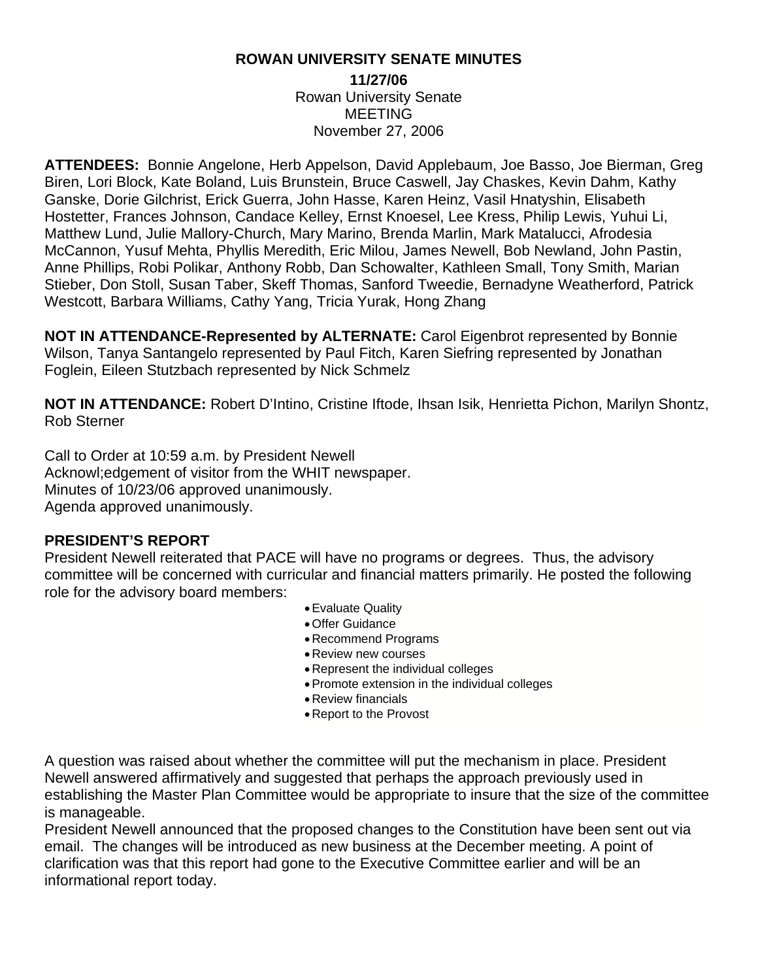#### **ROWAN UNIVERSITY SENATE MINUTES**

**11/27/06**  Rowan University Senate MEETING November 27, 2006

**ATTENDEES:** Bonnie Angelone, Herb Appelson, David Applebaum, Joe Basso, Joe Bierman, Greg Biren, Lori Block, Kate Boland, Luis Brunstein, Bruce Caswell, Jay Chaskes, Kevin Dahm, Kathy Ganske, Dorie Gilchrist, Erick Guerra, John Hasse, Karen Heinz, Vasil Hnatyshin, Elisabeth Hostetter, Frances Johnson, Candace Kelley, Ernst Knoesel, Lee Kress, Philip Lewis, Yuhui Li, Matthew Lund, Julie Mallory-Church, Mary Marino, Brenda Marlin, Mark Matalucci, Afrodesia McCannon, Yusuf Mehta, Phyllis Meredith, Eric Milou, James Newell, Bob Newland, John Pastin, Anne Phillips, Robi Polikar, Anthony Robb, Dan Schowalter, Kathleen Small, Tony Smith, Marian Stieber, Don Stoll, Susan Taber, Skeff Thomas, Sanford Tweedie, Bernadyne Weatherford, Patrick Westcott, Barbara Williams, Cathy Yang, Tricia Yurak, Hong Zhang

**NOT IN ATTENDANCE-Represented by ALTERNATE:** Carol Eigenbrot represented by Bonnie Wilson, Tanya Santangelo represented by Paul Fitch, Karen Siefring represented by Jonathan Foglein, Eileen Stutzbach represented by Nick Schmelz

**NOT IN ATTENDANCE:** Robert D'Intino, Cristine Iftode, Ihsan Isik, Henrietta Pichon, Marilyn Shontz, Rob Sterner

Call to Order at 10:59 a.m. by President Newell Acknowl;edgement of visitor from the WHIT newspaper. Minutes of 10/23/06 approved unanimously. Agenda approved unanimously.

#### **PRESIDENT'S REPORT**

President Newell reiterated that PACE will have no programs or degrees. Thus, the advisory committee will be concerned with curricular and financial matters primarily. He posted the following role for the advisory board members:

- Evaluate Quality
- Offer Guidance
- Recommend Programs
- Review new courses
- Represent the individual colleges
- Promote extension in the individual colleges
- Review financials
- Report to the Provost

A question was raised about whether the committee will put the mechanism in place. President Newell answered affirmatively and suggested that perhaps the approach previously used in establishing the Master Plan Committee would be appropriate to insure that the size of the committee is manageable.

President Newell announced that the proposed changes to the Constitution have been sent out via email. The changes will be introduced as new business at the December meeting. A point of clarification was that this report had gone to the Executive Committee earlier and will be an informational report today.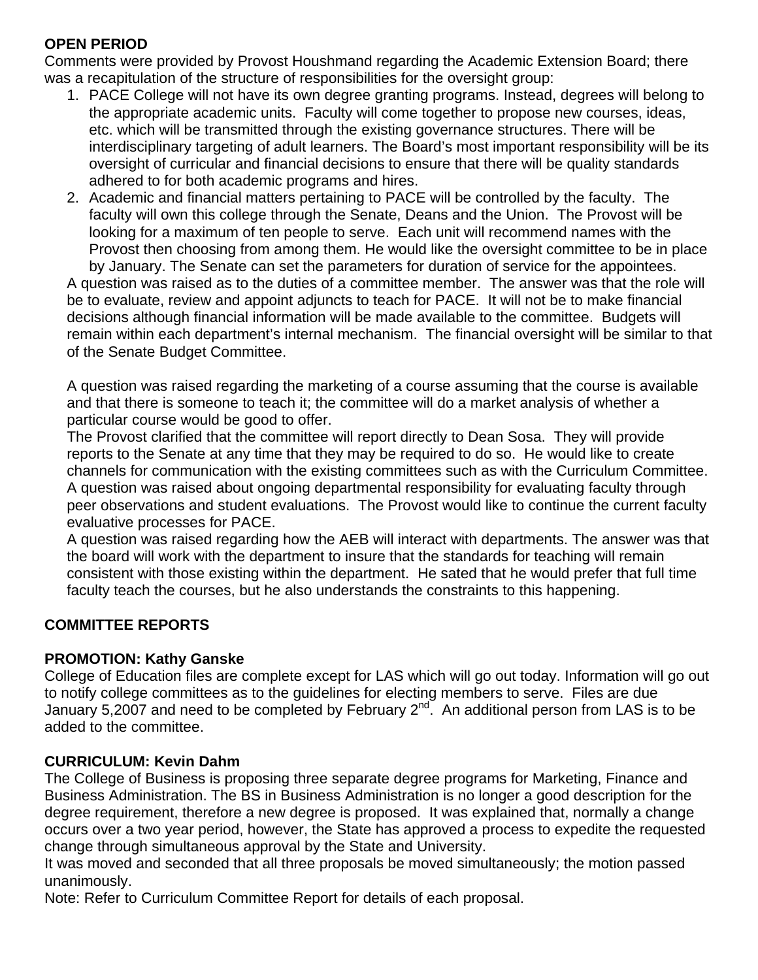# **OPEN PERIOD**

Comments were provided by Provost Houshmand regarding the Academic Extension Board; there was a recapitulation of the structure of responsibilities for the oversight group:

- 1. PACE College will not have its own degree granting programs. Instead, degrees will belong to the appropriate academic units. Faculty will come together to propose new courses, ideas, etc. which will be transmitted through the existing governance structures. There will be interdisciplinary targeting of adult learners. The Board's most important responsibility will be its oversight of curricular and financial decisions to ensure that there will be quality standards adhered to for both academic programs and hires.
- 2. Academic and financial matters pertaining to PACE will be controlled by the faculty. The faculty will own this college through the Senate, Deans and the Union. The Provost will be looking for a maximum of ten people to serve. Each unit will recommend names with the Provost then choosing from among them. He would like the oversight committee to be in place by January. The Senate can set the parameters for duration of service for the appointees.

A question was raised as to the duties of a committee member. The answer was that the role will be to evaluate, review and appoint adjuncts to teach for PACE. It will not be to make financial decisions although financial information will be made available to the committee. Budgets will remain within each department's internal mechanism. The financial oversight will be similar to that of the Senate Budget Committee.

A question was raised regarding the marketing of a course assuming that the course is available and that there is someone to teach it; the committee will do a market analysis of whether a particular course would be good to offer.

The Provost clarified that the committee will report directly to Dean Sosa. They will provide reports to the Senate at any time that they may be required to do so. He would like to create channels for communication with the existing committees such as with the Curriculum Committee. A question was raised about ongoing departmental responsibility for evaluating faculty through peer observations and student evaluations. The Provost would like to continue the current faculty evaluative processes for PACE.

A question was raised regarding how the AEB will interact with departments. The answer was that the board will work with the department to insure that the standards for teaching will remain consistent with those existing within the department. He sated that he would prefer that full time faculty teach the courses, but he also understands the constraints to this happening.

# **COMMITTEE REPORTS**

### **PROMOTION: Kathy Ganske**

College of Education files are complete except for LAS which will go out today. Information will go out to notify college committees as to the guidelines for electing members to serve. Files are due January 5,2007 and need to be completed by February  $2^{nd}$ . An additional person from LAS is to be added to the committee.

# **CURRICULUM: Kevin Dahm**

The College of Business is proposing three separate degree programs for Marketing, Finance and Business Administration. The BS in Business Administration is no longer a good description for the degree requirement, therefore a new degree is proposed. It was explained that, normally a change occurs over a two year period, however, the State has approved a process to expedite the requested change through simultaneous approval by the State and University.

It was moved and seconded that all three proposals be moved simultaneously; the motion passed unanimously.

Note: Refer to Curriculum Committee Report for details of each proposal.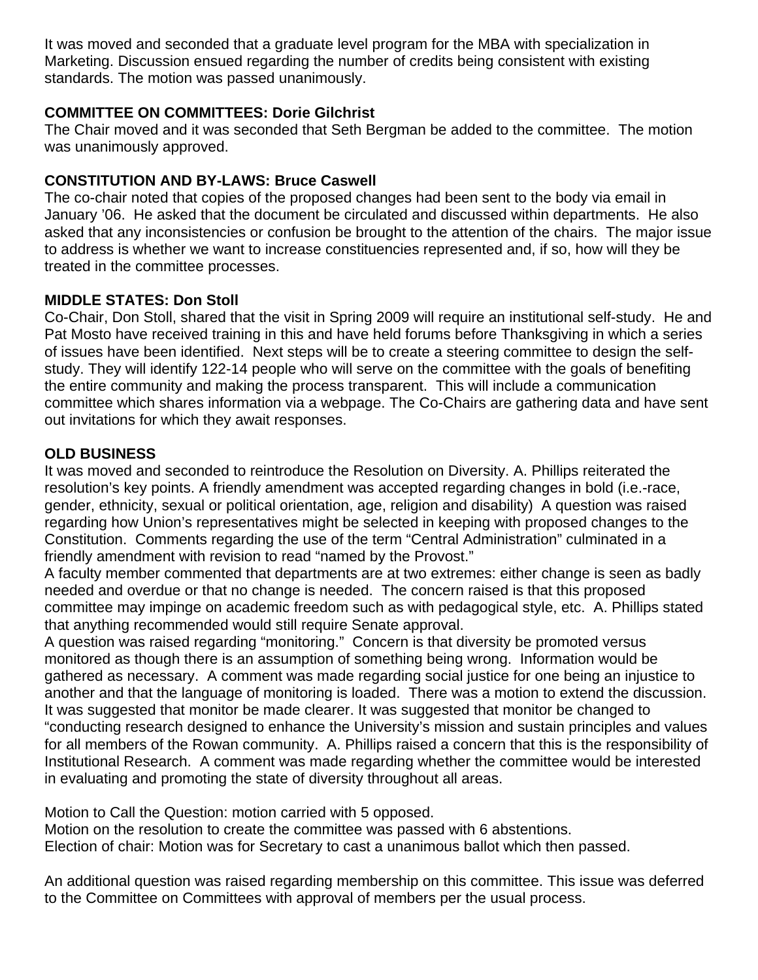It was moved and seconded that a graduate level program for the MBA with specialization in Marketing. Discussion ensued regarding the number of credits being consistent with existing standards. The motion was passed unanimously.

### **COMMITTEE ON COMMITTEES: Dorie Gilchrist**

The Chair moved and it was seconded that Seth Bergman be added to the committee. The motion was unanimously approved.

# **CONSTITUTION AND BY-LAWS: Bruce Caswell**

The co-chair noted that copies of the proposed changes had been sent to the body via email in January '06. He asked that the document be circulated and discussed within departments. He also asked that any inconsistencies or confusion be brought to the attention of the chairs. The major issue to address is whether we want to increase constituencies represented and, if so, how will they be treated in the committee processes.

## **MIDDLE STATES: Don Stoll**

Co-Chair, Don Stoll, shared that the visit in Spring 2009 will require an institutional self-study. He and Pat Mosto have received training in this and have held forums before Thanksgiving in which a series of issues have been identified. Next steps will be to create a steering committee to design the selfstudy. They will identify 122-14 people who will serve on the committee with the goals of benefiting the entire community and making the process transparent. This will include a communication committee which shares information via a webpage. The Co-Chairs are gathering data and have sent out invitations for which they await responses.

## **OLD BUSINESS**

It was moved and seconded to reintroduce the Resolution on Diversity. A. Phillips reiterated the resolution's key points. A friendly amendment was accepted regarding changes in bold (i.e.-race, gender, ethnicity, sexual or political orientation, age, religion and disability) A question was raised regarding how Union's representatives might be selected in keeping with proposed changes to the Constitution. Comments regarding the use of the term "Central Administration" culminated in a friendly amendment with revision to read "named by the Provost."

A faculty member commented that departments are at two extremes: either change is seen as badly needed and overdue or that no change is needed. The concern raised is that this proposed committee may impinge on academic freedom such as with pedagogical style, etc. A. Phillips stated that anything recommended would still require Senate approval.

A question was raised regarding "monitoring." Concern is that diversity be promoted versus monitored as though there is an assumption of something being wrong. Information would be gathered as necessary. A comment was made regarding social justice for one being an injustice to another and that the language of monitoring is loaded. There was a motion to extend the discussion. It was suggested that monitor be made clearer. It was suggested that monitor be changed to "conducting research designed to enhance the University's mission and sustain principles and values for all members of the Rowan community. A. Phillips raised a concern that this is the responsibility of Institutional Research. A comment was made regarding whether the committee would be interested in evaluating and promoting the state of diversity throughout all areas.

Motion to Call the Question: motion carried with 5 opposed.

Motion on the resolution to create the committee was passed with 6 abstentions.

Election of chair: Motion was for Secretary to cast a unanimous ballot which then passed.

An additional question was raised regarding membership on this committee. This issue was deferred to the Committee on Committees with approval of members per the usual process.